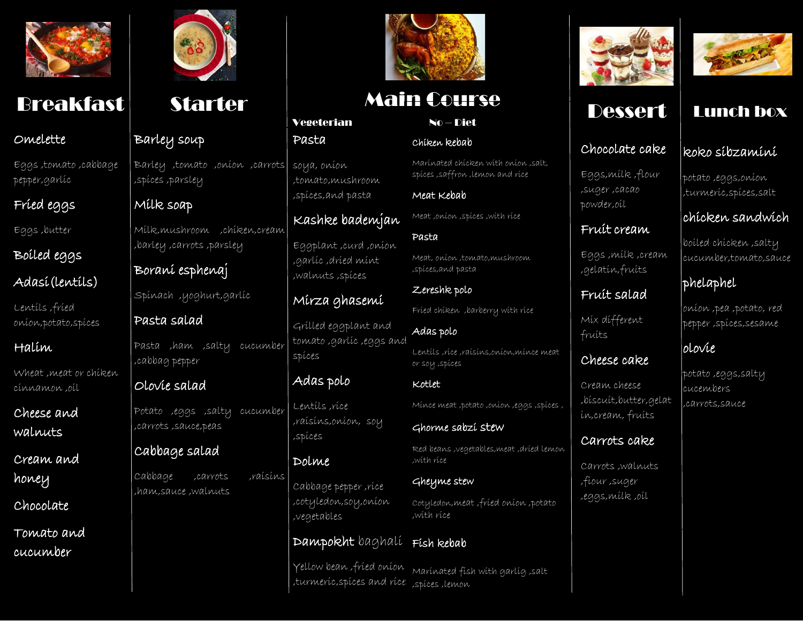

### Omelette

Eggs ,tomato ,cabbage pepper,garlic

## Fried eggs

Eggs ,butter

# Boiled eggs Adasi(lentils)

Lentils ,fried onion,potato,spices

## Halim

Wheat ,meat or chiken cinnamon ,oil

Cheese and walnuts

Cream and honey

Chocolate

Tomato and cucumber



## Barley soup

Barley ,tomato ,onion ,carrots ,spices ,parsley

## Milk soap

Milk,mushroom ,chiken,cream ,barley ,carrots ,parsley

Borani esphenaj

Spinach ,yoghurt,garlic

## Pasta salad

Pasta ,ham ,salty cucumber ,cabbag pepper

## Olovie salad

Potato ,eggs ,salty cucumber ,carrots ,sauce,peas

## Cabbage salad

Cabbage ,carrots ,raisins ,ham,sauce ,walnuts



# Breakfast Starter Main Course Ressert Lunch box

No – Diet

Marinated chicken with onion ,salt, spices ,saffron ,lemon and rice

Meat ,onion ,spices ,with rice

Meat, onion ,tomato,mushroom

Fried chiken ,barberry with rice

Lentils ,rice ,raisins,onion,mince meat

Mince meat ,potato ,onion ,eggs ,spices ,

Red beans ,vegetables,meat ,dried lemon

Cotyledon,meat ,fried onion ,potato

Marinated fish with garlig ,salt

Ghorme sabzi stew

Chiken kebab

Meat Kebab

,spices,and pasta

Zereshk polo

Adas polo

or soy ,spices

Kotlet

,with rice

,with rice

Gheyme stew

Pasta

### Vegeterian Pasta

soya, onion ,tomato,mushroom ,spices,and pasta

## Kashke bademjan

Eggplant ,curd ,onion ,garlic ,dried mint ,walnuts ,spices

## Mirza ghasemi

Grilled eggplant and tomato ,garlic ,eggs and spices

## Adas polo

Lentils ,rice ,raisins,onion, soy ,spices

Dolme Cabbage pepper ,rice ,cotyledon,soy,onion ,vegetables

### Dampokht baghali Fish kebab

Yellow bean ,fried onion turmeric, spices and rice: , <sub>spices</sub>, lemon,



# Dessert

## Chocolate cake

Eggs,milk ,flour ,suger ,cacao powder,oil

## Fruit cream

Eggs ,milk ,cream ,gelatin,fruits

## Fruit salad

Mix different fruits

## Cheese cake

Cream cheese ,biscuit,butter,gelat in,cream, fruits

## Carrots cake

Carrots ,walnuts ,fiour ,suger ,eggs,milk ,oil



## koko sibzamini

potato ,eggs,onion ,turmeric,spices,salt

## chicken sandwich

boiled chicken ,salty cucumber,tomato,sauce

## phelaphel

onion ,pea ,potato, red pepper ,spices,sesame

## olovie

potato ,eggs,salty cucembers ,carrots,sauce